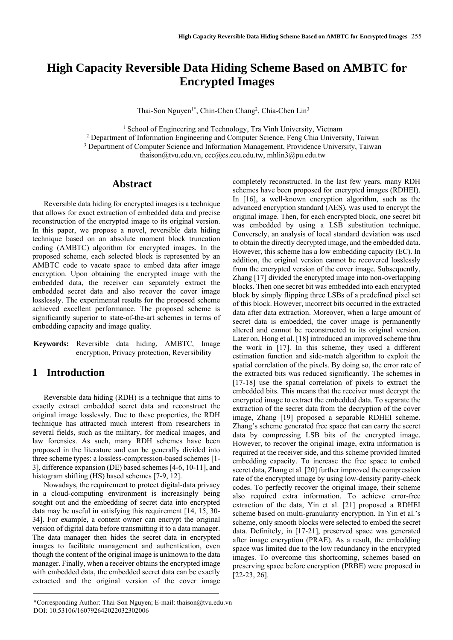# **High Capacity Reversible Data Hiding Scheme Based on AMBTC for Encrypted Images**

Thai-Son Nguyen<sup>1\*</sup>, Chin-Chen Chang<sup>2</sup>, Chia-Chen Lin<sup>3</sup>

<sup>1</sup> School of Engineering and Technology, Tra Vinh University, Vietnam

<sup>2</sup> Department of Information Engineering and Computer Science, Feng Chia University, Taiwan

<sup>3</sup> Department of Computer Science and Information Management, Providence University, Taiwan

thaison@tvu.edu.vn, [ccc@cs.ccu.edu.tw,](mailto:ccc@cs.ccu.edu.tw) mhlin3@pu.edu.tw

## **Abstract**

Reversible data hiding for encrypted images is a technique that allows for exact extraction of embedded data and precise reconstruction of the encrypted image to its original version. In this paper, we propose a novel, reversible data hiding technique based on an absolute moment block truncation coding (AMBTC) algorithm for encrypted images. In the proposed scheme, each selected block is represented by an AMBTC code to vacate space to embed data after image encryption. Upon obtaining the encrypted image with the embedded data, the receiver can separately extract the embedded secret data and also recover the cover image losslessly. The experimental results for the proposed scheme achieved excellent performance. The proposed scheme is significantly superior to state-of-the-art schemes in terms of embedding capacity and image quality.

**Keywords:** Reversible data hiding, AMBTC, Image encryption, Privacy protection, Reversibility

# **1 Introduction**

Reversible data hiding (RDH) is a technique that aims to exactly extract embedded secret data and reconstruct the original image losslessly. Due to these properties, the RDH technique has attracted much interest from researchers in several fields, such as the military, for medical images, and law forensics. As such, many RDH schemes have been proposed in the literature and can be generally divided into three scheme types: a lossless-compression-based schemes [1- 3], difference expansion (DE) based schemes [4-6, 10-11], and histogram shifting (HS) based schemes [7-9, 12].

Nowadays, the requirement to protect digital-data privacy in a cloud-computing environment is increasingly being sought out and the embedding of secret data into encrypted data may be useful in satisfying this requirement [14, 15, 30- 34]. For example, a content owner can encrypt the original version of digital data before transmitting it to a data manager. The data manager then hides the secret data in encrypted images to facilitate management and authentication, even though the content of the original image is unknown to the data manager. Finally, when a receiver obtains the encrypted image with embedded data, the embedded secret data can be exactly extracted and the original version of the cover image

completely reconstructed. In the last few years, many RDH schemes have been proposed for encrypted images (RDHEI). In [16], a well-known encryption algorithm, such as the advanced encryption standard (AES), was used to encrypt the original image. Then, for each encrypted block, one secret bit was embedded by using a LSB substitution technique. Conversely, an analysis of local standard deviation was used to obtain the directly decrypted image, and the embedded data. However, this scheme has a low embedding capacity (EC). In addition, the original version cannot be recovered losslessly from the encrypted version of the cover image. Subsequently, Zhang [17] divided the encrypted image into non-overlapping blocks. Then one secret bit was embedded into each encrypted block by simply flipping three LSBs of a predefined pixel set of this block. However, incorrect bits occurred in the extracted data after data extraction. Moreover, when a large amount of secret data is embedded, the cover image is permanently altered and cannot be reconstructed to its original version. Later on, Hong et al. [18] introduced an improved scheme thru the work in [17]. In this scheme, they used a different estimation function and side-match algorithm to exploit the spatial correlation of the pixels. By doing so, the error rate of the extracted bits was reduced significantly. The schemes in [17-18] use the spatial correlation of pixels to extract the embedded bits. This means that the receiver must decrypt the encrypted image to extract the embedded data. To separate the extraction of the secret data from the decryption of the cover image, Zhang [19] proposed a separable RDHEI scheme. Zhang's scheme generated free space that can carry the secret data by compressing LSB bits of the encrypted image. However, to recover the original image, extra information is required at the receiver side, and this scheme provided limited embedding capacity. To increase the free space to embed secret data, Zhang et al. [20] further improved the compression rate of the encrypted image by using low-density parity-check codes. To perfectly recover the original image, their scheme also required extra information. To achieve error-free extraction of the data, Yin et al. [21] proposed a RDHEI scheme based on multi-granularity encryption. In Yin et al.'s scheme, only smooth blocks were selected to embed the secret data. Definitely, in [17-21], preserved space was generated after image encryption (PRAE). As a result, the embedding space was limited due to the low redundancy in the encrypted images. To overcome this shortcoming, schemes based on preserving space before encryption (PRBE) were proposed in [22-23, 26].

<sup>\*</sup>Corresponding Author: Thai-Son Nguyen; E-mail: thaison@tvu.edu.vn DOI: 10.53106/160792642022032302006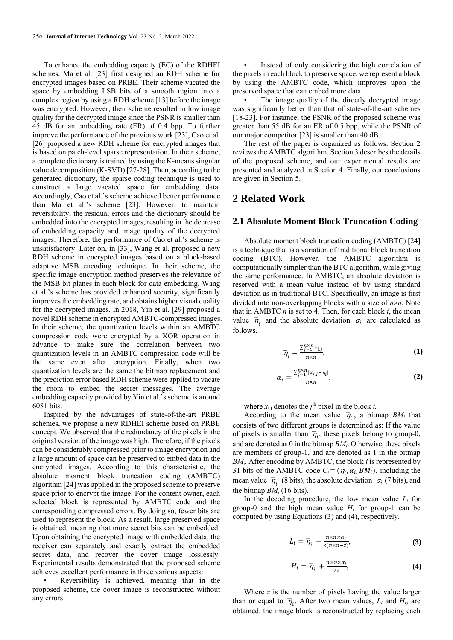To enhance the embedding capacity (EC) of the RDHEI schemes, Ma et al. [23] first designed an RDH scheme for encrypted images based on PRBE. Their scheme vacated the space by embedding LSB bits of a smooth region into a complex region by using a RDH scheme [13] before the image was encrypted. However, their scheme resulted in low image quality for the decrypted image since the PSNR is smaller than 45 dB for an embedding rate (ER) of 0.4 bpp. To further improve the performance of the previous work [23], Cao et al. [26] proposed a new RDH scheme for encrypted images that is based on patch-level sparse representation. In their scheme, a complete dictionary is trained by using the K-means singular value decomposition (K-SVD) [27-28]. Then, according to the generated dictionary, the sparse coding technique is used to construct a large vacated space for embedding data. Accordingly, Cao et al.'s scheme achieved better performance than Ma et al.'s scheme [23]. However, to maintain reversibility, the residual errors and the dictionary should be embedded into the encrypted images, resulting in the decrease of embedding capacity and image quality of the decrypted images. Therefore, the performance of Cao et al.'s scheme is unsatisfactory. Later on, in [33], Wang et al. proposed a new RDH scheme in encrypted images based on a block-based adaptive MSB encoding technique. In their scheme, the specific image encryption method preserves the relevance of the MSB bit planes in each block for data embedding. Wang et al.'s scheme has provided enhanced security, significantly improves the embedding rate, and obtains higher visual quality for the decrypted images. In 2018, Yin et al. [29] proposed a novel RDH scheme in encrypted AMBTC-compressed images. In their scheme, the quantization levels within an AMBTC compression code were encrypted by a XOR operation in advance to make sure the correlation between two quantization levels in an AMBTC compression code will be the same even after encryption. Finally, when two quantization levels are the same the bitmap replacement and the prediction error based RDH scheme were applied to vacate the room to embed the secret messages. The average embedding capacity provided by Yin et al.'s scheme is around 6081 bits.

Inspired by the advantages of state-of-the-art PRBE schemes, we propose a new RDHEI scheme based on PRBE concept. We observed that the redundancy of the pixels in the original version of the image was high. Therefore, if the pixels can be considerably compressed prior to image encryption and a large amount of space can be preserved to embed data in the encrypted images. According to this characteristic, the absolute moment block truncation coding (AMBTC) algorithm [24] was applied in the proposed scheme to preserve space prior to encrypt the image. For the content owner, each selected block is represented by AMBTC code and the corresponding compressed errors. By doing so, fewer bits are used to represent the block. As a result, large preserved space is obtained, meaning that more secret bits can be embedded. Upon obtaining the encrypted image with embedded data, the receiver can separately and exactly extract the embedded secret data, and recover the cover image losslessly. Experimental results demonstrated that the proposed scheme achieves excellent performance in three various aspects:

Reversibility is achieved, meaning that in the proposed scheme, the cover image is reconstructed without any errors.

Instead of only considering the high correlation of the pixels in each block to preserve space, we represent a block by using the AMBTC code, which improves upon the preserved space that can embed more data.

The image quality of the directly decrypted image was significantly better than that of state-of-the-art schemes [18-23]. For instance, the PSNR of the proposed scheme was greater than 55 dB for an ER of 0.5 bpp, while the PSNR of our major competitor [23] is smaller than 40 dB.

The rest of the paper is organized as follows. Section 2 reviews the AMBTC algorithm. Section 3 describes the details of the proposed scheme, and our experimental results are presented and analyzed in Section 4. Finally, our conclusions are given in Section 5.

### **2 Related Work**

### **2.1 Absolute Moment Block Truncation Coding**

Absolute moment block truncation coding (AMBTC) [24] is a technique that is a variation of traditional block truncation coding (BTC). However, the AMBTC algorithm is computationally simpler than the BTC algorithm, while giving the same performance. In AMBTC, an absolute deviation is reserved with a mean value instead of by using standard deviation as in traditional BTC. Specifically, an image is first divided into non-overlapping blocks with a size of *nn*. Note that in AMBTC *n* is set to 4. Then, for each block *i*, the mean value  $\overline{\eta}_i$  and the absolute deviation  $\alpha_i$  are calculated as follows.

$$
\overline{\eta}_i = \frac{\sum_{j=1}^{n \times n} x_{i,j}}{n \times n},\tag{1}
$$

$$
\alpha_i = \frac{\sum_{j=1}^{n \times n} |x_{i,j} - \overline{\eta}_i|}{n \times n},\tag{2}
$$

where  $x_{i,j}$  denotes the  $j^{\text{th}}$  pixel in the block *i*.

According to the mean value  $\overline{\eta}_i$ , a bitmap  $BM_i$  that consists of two different groups is determined as: If the value of pixels is smaller than  $\overline{\eta}_i$ , these pixels belong to group-0, and are denoted as 0 in the bitmap *BMi*. Otherwise, these pixels are members of group-1, and are denoted as 1 in the bitmap  $BM<sub>i</sub>$ . After encoding by AMBTC, the block *i* is represented by 31 bits of the AMBTC code  $C_i = (\overline{\eta}_i, \alpha_i, BM_i)$ , including the mean value  $\overline{\eta}_i$  (8 bits), the absolute deviation  $\alpha_i$  (7 bits), and the bitmap *BM<sup>i</sup>* (16 bits).

In the decoding procedure, the low mean value *L<sup>i</sup>* for group-0 and the high mean value  $H_i$  for group-1 can be computed by using Equations (3) and (4), respectively.

$$
L_i = \overline{\eta}_i - \frac{n \times n \times \alpha_i}{2(n \times n - z)},
$$
 (3)

$$
H_i = \overline{\eta}_i + \frac{n \times n \times \alpha_i}{2z}, \tag{4}
$$

Where *z* is the number of pixels having the value larger than or equal to  $\overline{\eta}_i$ . After two mean values,  $L_i$  and  $H_i$ , are obtained, the image block is reconstructed by replacing each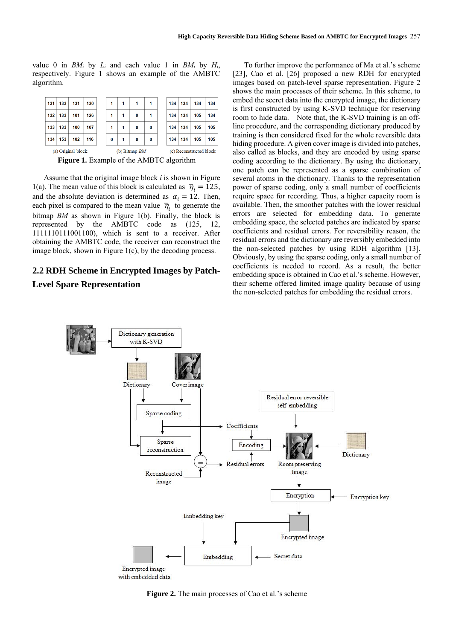value 0 in  $BM_i$  by  $L_i$  and each value 1 in  $BM_i$  by  $H_i$ , respectively. Figure 1 shows an example of the AMBTC algorithm.

| 131                                      | 133 | 131                | 130 |  | 1        | 1               | 1 | 1        |  | 134                     | 134 | 134 | 134 |  |
|------------------------------------------|-----|--------------------|-----|--|----------|-----------------|---|----------|--|-------------------------|-----|-----|-----|--|
| 132                                      | 133 | 101                | 126 |  | 1        | 1               | 0 | 1        |  | 134                     | 134 | 105 | 134 |  |
| 133                                      | 133 | 100                | 107 |  |          | 1               | 0 | $\bf{0}$ |  | 134                     | 134 | 105 | 105 |  |
| 134                                      | 153 | 102                | 116 |  | $\bf{0}$ | 1               | 0 | $\bf{0}$ |  | 134                     | 134 | 105 | 105 |  |
|                                          |     | (a) Original block |     |  |          | (b) Bitmap $BM$ |   |          |  | (c) Reconstructed block |     |     |     |  |
| Figure 1. Example of the AMBTC algorithm |     |                    |     |  |          |                 |   |          |  |                         |     |     |     |  |

Assume that the original image block *i* is shown in Figure 1(a). The mean value of this block is calculated as  $\bar{\eta}_i = 125$ , and the absolute deviation is determined as  $\alpha_i = 12$ . Then, each pixel is compared to the mean value  $\overline{\eta}_i$  to generate the bitmap *BM* as shown in Figure 1(b). Finally, the block is represented by the AMBTC code as (125, 12, 1111110111001100), which is sent to a receiver. After obtaining the AMBTC code, the receiver can reconstruct the image block, shown in Figure 1(c), by the decoding process.

# **2.2 RDH Scheme in Encrypted Images by Patch-Level Spare Representation**

To further improve the performance of Ma et al.'s scheme [23], Cao et al. [26] proposed a new RDH for encrypted images based on patch-level sparse representation. Figure 2 shows the main processes of their scheme. In this scheme, to embed the secret data into the encrypted image, the dictionary is first constructed by using K-SVD technique for reserving room to hide data. Note that, the K-SVD training is an offline procedure, and the corresponding dictionary produced by training is then considered fixed for the whole reversible data hiding procedure. A given cover image is divided into patches, also called as blocks, and they are encoded by using sparse coding according to the dictionary. By using the dictionary, one patch can be represented as a sparse combination of several atoms in the dictionary. Thanks to the representation power of sparse coding, only a small number of coefficients require space for recording. Thus, a higher capacity room is available. Then, the smoother patches with the lower residual errors are selected for embedding data. To generate embedding space, the selected patches are indicated by sparse coefficients and residual errors. For reversibility reason, the residual errors and the dictionary are reversibly embedded into the non-selected patches by using RDH algorithm [13]. Obviously, by using the sparse coding, only a small number of coefficients is needed to record. As a result, the better embedding space is obtained in Cao et al.'s scheme. However, their scheme offered limited image quality because of using the non-selected patches for embedding the residual errors.



**Figure 2.** The main processes of Cao et al.'s scheme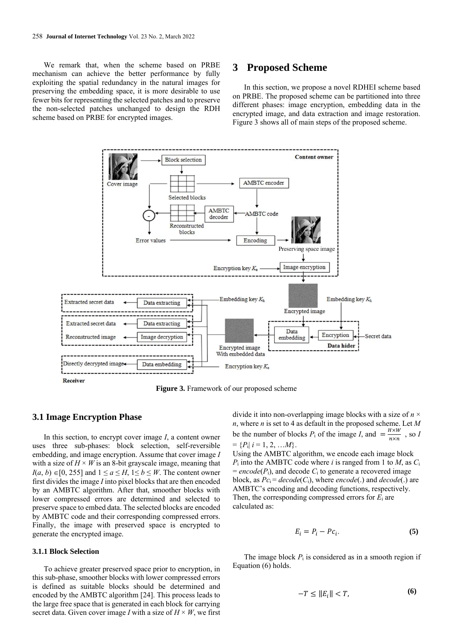We remark that, when the scheme based on PRBE mechanism can achieve the better performance by fully exploiting the spatial redundancy in the natural images for preserving the embedding space, it is more desirable to use fewer bits for representing the selected patches and to preserve the non-selected patches unchanged to design the RDH scheme based on PRBE for encrypted images.

### **3 Proposed Scheme**

In this section, we propose a novel RDHEI scheme based on PRBE. The proposed scheme can be partitioned into three different phases: image encryption, embedding data in the encrypted image, and data extraction and image restoration. Figure 3 shows all of main steps of the proposed scheme.



**Figure 3.** Framework of our proposed scheme

### **3.1 Image Encryption Phase**

In this section, to encrypt cover image *I*, a content owner uses three sub-phases: block selection, self-reversible embedding, and image encryption. Assume that cover image *I* with a size of  $H \times W$  is an 8-bit grayscale image, meaning that *I*(*a*, *b*) ∈[0, 255] and  $1 ≤ a ≤ H$ ,  $1 ≤ b ≤ W$ . The content owner first divides the image *I* into pixel blocks that are then encoded by an AMBTC algorithm. After that, smoother blocks with lower compressed errors are determined and selected to preserve space to embed data. The selected blocks are encoded by AMBTC code and their corresponding compressed errors. Finally, the image with preserved space is encrypted to generate the encrypted image.

### **3.1.1 Block Selection**

To achieve greater preserved space prior to encryption, in this sub-phase, smoother blocks with lower compressed errors is defined as suitable blocks should be determined and encoded by the AMBTC algorithm [24]. This process leads to the large free space that is generated in each block for carrying secret data. Given cover image *I* with a size of  $H \times W$ , we first

divide it into non-overlapping image blocks with a size of  $n \times$ *n*, where *n* is set to 4 as default in the proposed scheme. Let *M* be the number of blocks  $P_i$  of the image *I*, and  $=$   $\frac{H \times W}{H \times W}$  $\frac{n \times w}{n \times n}$ , so *I*  $= \{P_i | i = 1, 2, ... M\}.$ 

Using the AMBTC algorithm, we encode each image block *P*<sub>i</sub> into the AMBTC code where *i* is ranged from 1 to *M*, as  $C_i$  $= encode(P_i)$ , and decode  $C_i$  to generate a recovered image block, as  $Pc_i = decode(C_i)$ , where *encode*(.) and  $decode(.)$  are AMBTC's encoding and decoding functions, respectively. Then, the corresponding compressed errors for *E*<sup>i</sup> are calculated as:

$$
E_i = P_i - P c_i. \tag{5}
$$

The image block  $P_i$  is considered as in a smooth region if Equation (6) holds.

$$
-T \le ||E_i|| < T,\tag{6}
$$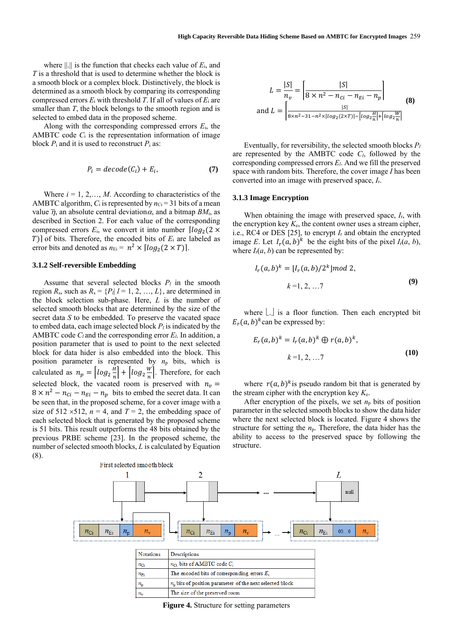where  $||.||$  is the function that checks each value of  $E_i$ , and *T* is a threshold that is used to determine whether the block is a smooth block or a complex block. Distinctively, the block is determined as a smooth block by comparing its corresponding compressed errors *E*<sup>i</sup> with threshold *T*. If all of values of *E*<sup>i</sup> are smaller than *T*, the block belongs to the smooth region and is selected to embed data in the proposed scheme.

Along with the corresponding compressed errors *E*i, the AMBTC code  $C_i$  is the representation information of image block  $P_i$  and it is used to reconstruct  $P_i$  as:

$$
P_i = decode(C_i) + E_i, \tag{7}
$$

Where  $i = 1, 2, \ldots, M$ . According to characteristics of the AMBTC algorithm,  $C_i$  is represented by  $n_{Ci} = 31$  bits of a mean value  $\overline{\eta}$ , an absolute central deviation  $\alpha$ , and a bitmap  $BM_i$ , as described in Section 2. For each value of the corresponding compressed errors  $E_i$ , we convert it into number  $\lceil log_2(2 \times$  $[T]$ ] of bits. Therefore, the encoded bits of  $E_i$  are labeled as error bits and denoted as  $n_{\text{Ei}} = n^2 \times \left[ \log_2(2 \times T) \right]$ .

#### **3.1.2 Self-reversible Embedding**

Assume that several selected blocks  $P_l$  in the smooth region  $R_s$ , such as  $R_s = \{P_l | l = 1, 2, ..., L\}$ , are determined in the block selection sub-phase. Here, *L* is the number of selected smooth blocks that are determined by the size of the secret data *S* to be embedded. To preserve the vacated space to embed data, each image selected block  $P_l$  is indicated by the AMBTC code  $C_l$  and the corresponding error  $E_l$ . In addition, a position parameter that is used to point to the next selected block for data hider is also embedded into the block. This position parameter is represented by *n*<sup>p</sup> bits, which is calculated as  $n_p = \left[ \log_2 \frac{H}{n} \right]$  $\left\lfloor \frac{H}{n} \right\rfloor + \left\lfloor \log_2 \frac{W}{n} \right\rfloor$  $\frac{m}{n}$ . Therefore, for each selected block, the vacated room is preserved with  $n_v =$  $8 \times n^2 - n_{ci} - n_{E_i} - n_p$  bits to embed the secret data. It can be seen that, in the proposed scheme, for a cover image with a size of 512  $\times$ 512, *n* = 4, and *T* = 2, the embedding space of each selected block that is generated by the proposed scheme is 51 bits. This result outperforms the 48 bits obtained by the previous PRBE scheme [23]. In the proposed scheme, the number of selected smooth blocks, *L* is calculated by Equation (8).

$$
L = \frac{|S|}{n_v} = \left[\frac{|S|}{8 \times n^2 - n_{ci} - n_{Ei} - n_p}\right]
$$
  
and 
$$
L = \left[\frac{|S|}{8 \times n^2 - 31 - n^2 \times \left[\log_2(2 \times T)\right] - \left[\log_2 \frac{H}{n}\right] + \left[\log_2 \frac{W}{n}\right]}\right]
$$
 (8)

Eventually, for reversibility, the selected smooth blocks *P<sup>l</sup>* are represented by the AMBTC code *Cl*, followed by the corresponding compressed errors *El*. And we fill the preserved space with random bits. Therefore, the cover image *I* has been converted into an image with preserved space, *I*r.

#### **3.1.3 Image Encryption**

When obtaining the image with preserved space, *I*r, with the encryption key  $K_e$ , the content owner uses a stream cipher, i.e., RC4 or DES [25], to encrypt *I*<sup>r</sup> and obtain the encrypted image *E*. Let  $I_r(a, b)^k$  be the eight bits of the pixel  $I_r(a, b)$ , where  $I_r(a, b)$  can be represented by:

$$
I_r(a,b)^k = [I_r(a,b)/2^k] \text{ mod } 2,
$$
  

$$
k = 1, 2, ...7
$$
 (9)

where  $\lfloor . \rfloor$  is a floor function. Then each encrypted bit  $E_r(a, b)^k$  can be expressed by:

$$
E_r(a,b)^k = I_r(a,b)^k \oplus r(a,b)^k,
$$
  
\n
$$
k = 1, 2, ...7
$$
 (10)

where  $r(a, b)^k$  is pseudo random bit that is generated by the stream cipher with the encryption key *K*e.

After encryption of the pixels, we set  $n<sub>p</sub>$  bits of position parameter in the selected smooth blocks to show the data hider where the next selected block is located. Figure 4 shows the structure for setting the  $n_p$ . Therefore, the data hider has the ability to access to the preserved space by following the structure.



| <b>Notations</b> | <b>Descriptions</b>                                        |
|------------------|------------------------------------------------------------|
| $n_{\rm Gi}$     | $n_{\text{C}}$ ; bits of AMBTC code $C_i$                  |
| $n_{E_i}$        | The encoded bits of corresponding errors $E_i$             |
| $n_{\rm p}$      | $nn$ bits of position parameter of the next selected block |
| n.               | The size of the preserved room                             |

**Figure 4.** Structure for setting parameters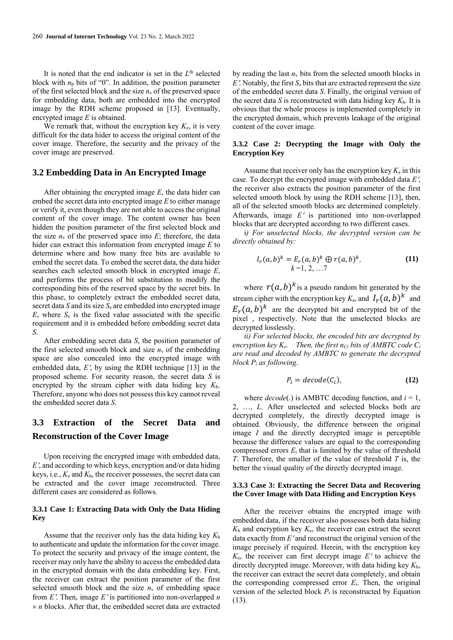It is noted that the end indicator is set in the  $L<sup>th</sup>$  selected block with  $n_p$  bits of "0". In addition, the position parameter of the first selected block and the size  $n_v$  of the preserved space for embedding data, both are embedded into the encrypted image by the RDH scheme proposed in [13]. Eventually, encrypted image *E* is obtained.

We remark that, without the encryption key *K*e, it is very difficult for the data hider to access the original content of the cover image. Therefore, the security and the privacy of the cover image are preserved.

### **3.2 Embedding Data in An Encrypted Image**

After obtaining the encrypted image *E*, the data hider can embed the secret data into encrypted image *E* to either manage or verify it, even though they are not able to access the original content of the cover image. The content owner has been hidden the position parameter of the first selected block and the size  $n_v$  of the preserved space into  $E$ ; therefore, the data hider can extract this information from encrypted image *E* to determine where and how many free bits are available to embed the secret data. To embed the secret data, the data hider searches each selected smooth block in encrypted image *E*, and performs the process of bit substitution to modify the corresponding bits of the reserved space by the secret bits. In this phase, to completely extract the embedded secret data, secret data *S* and its size  $S_z$  are embedded into encrypted image  $E$ , where  $S_z$  is the fixed value associated with the specific requirement and it is embedded before embedding secret data *S*.

After embedding secret data *S*, the position parameter of the first selected smooth block and size  $n_v$  of the embedding space are also concealed into the encrypted image with embedded data, *E*', by using the RDH technique [13] in the proposed scheme. For security reason, the secret data *S* is encrypted by the stream cipher with data hiding key *K*h. Therefore, anyone who does not possess this key cannot reveal the embedded secret data *S*.

# **3.3 Extraction of the Secret Data and Reconstruction of the Cover Image**

Upon receiving the encrypted image with embedded data, *E*, and according to which keys, encryption and/or data hiding keys, i.e., *K*<sup>e</sup> and *K*h, the receiver possesses, the secret data can be extracted and the cover image reconstructed. Three different cases are considered as follows.

#### **3.3.1 Case 1: Extracting Data with Only the Data Hiding Key**

Assume that the receiver only has the data hiding key *K*<sup>h</sup> to authenticate and update the information for the cover image. To protect the security and privacy of the image content, the receiver may only have the ability to access the embedded data in the encrypted domain with the data embedding key. First, the receiver can extract the position parameter of the first selected smooth block and the size  $n_v$  of embedding space from  $E'$ . Then, image  $E'$  is partitioned into non-overlapped *n*  $\times n$  blocks. After that, the embedded secret data are extracted

by reading the last  $n_v$  bits from the selected smooth blocks in  $E'$ . Notably, the first  $S_z$  bits that are extracted represent the size of the embedded secret data *S*. Finally, the original version of the secret data *S* is reconstructed with data hiding key  $K_h$ . It is obvious that the whole process is implemented completely in the encrypted domain, which prevents leakage of the original content of the cover image.

### **3.3.2 Case 2: Decrypting the Image with Only the Encryption Key**

Assume that receiver only has the encryption key  $K<sub>e</sub>$  in this case. To decrypt the encrypted image with embedded data *E*, the receiver also extracts the position parameter of the first selected smooth block by using the RDH scheme [13], then, all of the selected smooth blocks are determined completely. Afterwards, image *E'* is partitioned into non-overlapped blocks that are decrypted according to two different cases.

i*) For unselected blocks, the decrypted version can be directly obtained by:*

$$
I_r(a,b)^k = E_r(a,b)^k \oplus r(a,b)^k,
$$
  
\n $k = 1, 2, ...7$  (11)

where  $r(a, b)^k$  is a pseudo random bit generated by the stream cipher with the encryption key  $K_e$ , and  $I_r(a, b)^k$  and  $E_r(a, b)^k$  are the decrypted bit and encrypted bit of the pixel , respectively. Note that the unselected blocks are decrypted losslessly.

*ii) For selected blocks, the encoded bits are decrypted by encryption key*  $K_e$ *. Then, the first n<sub>Ci</sub> bits of AMBTC code*  $C_i$ *are read and decoded by AMBTC to generate the decrypted block P<sup>i</sup> as following*.

$$
P_i = decode(C_i), \tag{12}
$$

where *decode*(.) is AMBTC decoding function, and *i* = 1, 2, …, *L*. After unselected and selected blocks both are decrypted completely, the directly decrypted image is obtained. Obviously, the difference between the original image *I* and the directly decrypted image is perceptible because the difference values are equal to the corresponding compressed errors *E*<sup>i</sup> that is limited by the value of threshold *T*. Therefore, the smaller of the value of threshold *T* is, the better the visual quality of the directly decrypted image.

### **3.3.3 Case 3: Extracting the Secret Data and Recovering the Cover Image with Data Hiding and Encryption Keys**

After the receiver obtains the encrypted image with embedded data, if the receiver also possesses both data hiding  $K<sub>h</sub>$  and encryption key  $K<sub>e</sub>$ , the receiver can extract the secret data exactly from  $E'$  and reconstruct the original version of the image precisely if required. Herein, with the encryption key  $K_{\rm e}$ , the receiver can first decrypt image  $E'$  to achieve the directly decrypted image. Moreover, with data hiding key *K*h, the receiver can extract the secret data completely, and obtain the corresponding compressed error *E*i. Then, the original version of the selected block  $P_i$  is reconstructed by Equation (13).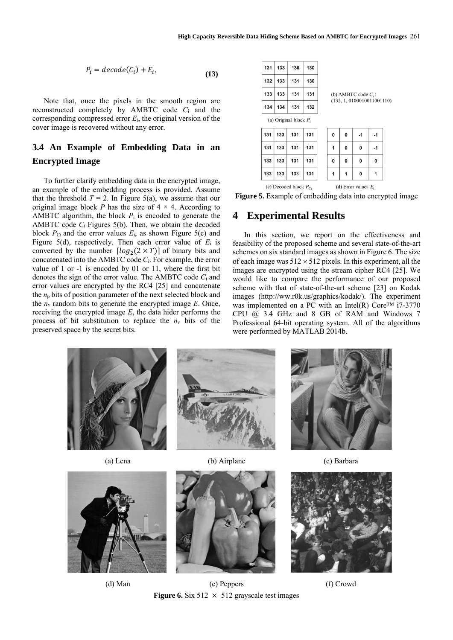$\overline{1}$ 

$$
P_i = decode(C_i) + E_i,
$$
\n(13)

Note that, once the pixels in the smooth region are reconstructed completely by AMBTC code *C*<sup>i</sup> and the corresponding compressed error *E*i, the original version of the cover image is recovered without any error.

# **3.4 An Example of Embedding Data in an Encrypted Image**

To further clarify embedding data in the encrypted image, an example of the embedding process is provided. Assume that the threshold  $T = 2$ . In Figure 5(a), we assume that our original image block *P* has the size of  $4 \times 4$ . According to AMBTC algorithm, the block  $P_i$  is encoded to generate the AMBTC code *C<sup>i</sup>* Figures 5(b). Then, we obtain the decoded block  $P_{\text{Ci}}$  and the error values  $E_i$ , as shown Figure 5(c) and Figure 5(d), respectively. Then each error value of *E*<sup>i</sup> is converted by the number  $\left[ \log_2(2 \times T) \right]$  of binary bits and concatenated into the AMBTC code *C*i. For example, the error value of 1 or -1 is encoded by 01 or 11, where the first bit denotes the sign of the error value. The AMBTC code *C*<sup>i</sup> and error values are encrypted by the RC4 [25] and concatenate the *n*<sup>p</sup> bits of position parameter of the next selected block and the  $n_v$  random bits to generate the encrypted image  $E$ . Once, receiving the encrypted image *E*, the data hider performs the process of bit substitution to replace the  $n_v$  bits of the preserved space by the secret bits.

| 132<br>133<br>131<br>130<br>133<br>133<br>131<br>131<br>(b) AMBTC code $C_i$ : |                            |  |  |  |  |  |  |  |  |  |  |  |  |
|--------------------------------------------------------------------------------|----------------------------|--|--|--|--|--|--|--|--|--|--|--|--|
|                                                                                |                            |  |  |  |  |  |  |  |  |  |  |  |  |
|                                                                                |                            |  |  |  |  |  |  |  |  |  |  |  |  |
| 134<br>134<br>131<br>132                                                       | (132, 1, 0100010011001110) |  |  |  |  |  |  |  |  |  |  |  |  |
| (a) Original block $P_i$                                                       |                            |  |  |  |  |  |  |  |  |  |  |  |  |
| 131<br>133<br>131<br>131<br>0<br>0<br>-1<br>-1                                 |                            |  |  |  |  |  |  |  |  |  |  |  |  |
| 131<br>133<br>131<br>131<br>1<br>0<br>0<br>-1                                  |                            |  |  |  |  |  |  |  |  |  |  |  |  |
| 133<br>133<br>131<br>131<br>0<br>0<br>0<br>0                                   |                            |  |  |  |  |  |  |  |  |  |  |  |  |
| 133<br>133<br>133<br>131<br>0<br>1<br>1<br>1                                   |                            |  |  |  |  |  |  |  |  |  |  |  |  |

(c) Decoded block  $P_{\text{ci}}$ (d) Error values  $E_i$ 

#### **Figure 5.** Example of embedding data into encrypted image

### **4 Experimental Results**

In this section, we report on the effectiveness and feasibility of the proposed scheme and several state-of-the-art schemes on six standard images as shown in Figure 6. The size of each image was  $512 \times 512$  pixels. In this experiment, all the images are encrypted using the stream cipher RC4 [25]. We would like to compare the performance of our proposed scheme with that of state-of-the-art scheme [23] on Kodak images (http://ww.r0k.us/graphics/kodak/). The experiment was implemented on a PC with an Intel(R) Core™ i7-3770 CPU @ 3.4 GHz and 8 GB of RAM and Windows 7 Professional 64-bit operating system. All of the algorithms were performed by MATLAB 2014b.











(d) Man (e) Peppers (f) Crowd **Figure 6.** Six 512  $\times$  512 grayscale test images

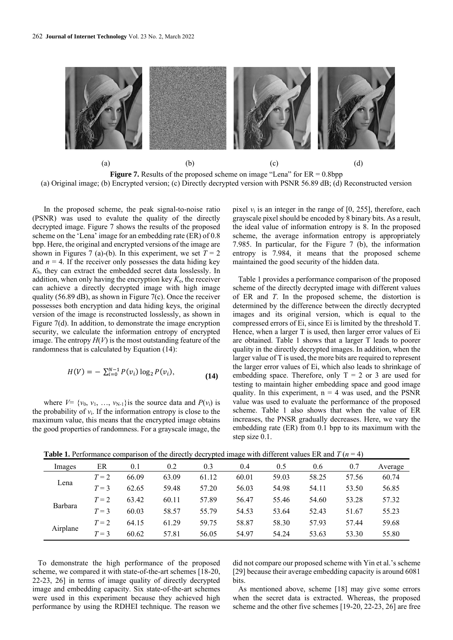

(a) Original image; (b) Encrypted version; (c) Directly decrypted version with PSNR 56.89 dB; (d) Reconstructed version

In the proposed scheme, the peak signal-to-noise ratio (PSNR) was used to evalute the quality of the directly decrypted image. Figure 7 shows the results of the proposed scheme on the 'Lena' image for an embedding rate (ER) of 0.8 bpp. Here, the original and encrypted versions of the image are shown in Figures 7 (a)-(b). In this experiment, we set  $T = 2$ and  $n = 4$ . If the receiver only possesses the data hiding key *K*h, they can extract the embedded secret data losslessly. In addition, when only having the encryption key  $K_{e}$ , the receiver can achieve a directly decrypted image with high image quality (56.89 dB), as shown in Figure 7(c). Once the receiver possesses both encryption and data hiding keys, the original version of the image is reconstructed losslessly, as shown in Figure 7(d). In addition, to demonstrate the image encryption security, we calculate the information entropy of encrypted image. The entropy  $H(V)$  is the most outstanding feature of the randomness that is calculated by Equation (14):

$$
H(V) = -\sum_{i=0}^{N-1} P(v_i) \log_2 P(v_i),
$$
\n(14)

where  $V = \{v_0, v_1, \ldots, v_{N-1}\}\$ is the source data and  $P(v_i)$  is the probability of  $v_i$ . If the information entropy is close to the maximum value, this means that the encrypted image obtains the good properties of randomness. For a grayscale image, the pixel  $v_i$  is an integer in the range of  $[0, 255]$ , therefore, each grayscale pixel should be encoded by 8 binary bits. As a result, the ideal value of information entropy is 8. In the proposed scheme, the average information entropy is appropriately 7.985. In particular, for the Figure 7 (b), the information entropy is 7.984, it means that the proposed scheme maintained the good security of the hidden data.

Table 1 provides a performance comparison of the proposed scheme of the directly decrypted image with different values of ER and *T*. In the proposed scheme, the distortion is determined by the difference between the directly decrypted images and its original version, which is equal to the compressed errors of Ei, since Ei is limited by the threshold T. Hence, when a larger T is used, then larger error values of Ei are obtained. Table 1 shows that a larger T leads to poorer quality in the directly decrypted images. In addition, when the larger value of T is used, the more bits are required to represent the larger error values of Ei, which also leads to shrinkage of embedding space. Therefore, only  $T = 2$  or 3 are used for testing to maintain higher embedding space and good image quality. In this experiment,  $n = 4$  was used, and the PSNR value was used to evaluate the performance of the proposed scheme. Table 1 also shows that when the value of ER increases, the PNSR gradually decreases. Here, we vary the embedding rate (ER) from 0.1 bpp to its maximum with the step size 0.1.

**Table 1.** Performance comparison of the directly decrypted image with different values ER and  $T (n = 4)$ 

| Images   | ER    | 0.1   | 0.2   | 0.3   | 0.4   | 0.5   | 0.6   | 0.7   | Average |
|----------|-------|-------|-------|-------|-------|-------|-------|-------|---------|
|          | $T=2$ | 66.09 | 63.09 | 61.12 | 60.01 | 59.03 | 58.25 | 57.56 | 60.74   |
| Lena     | $T=3$ | 62.65 | 59.48 | 57.20 | 56.03 | 54.98 | 54.11 | 53.50 | 56.85   |
|          | $T=2$ | 63.42 | 60.11 | 57.89 | 56.47 | 55.46 | 54.60 | 53.28 | 57.32   |
| Barbara  | $T=3$ | 60.03 | 58.57 | 55.79 | 54.53 | 53.64 | 52.43 | 51.67 | 55.23   |
| Airplane | $T=2$ | 64.15 | 61.29 | 59.75 | 58.87 | 58.30 | 57.93 | 57.44 | 59.68   |
|          | $T=3$ | 60.62 | 57.81 | 56.05 | 54.97 | 54.24 | 53.63 | 53.30 | 55.80   |

To demonstrate the high performance of the proposed scheme, we compared it with state-of-the-art schemes [18-20, 22-23, 26] in terms of image quality of directly decrypted image and embedding capacity. Six state-of-the-art schemes were used in this experiment because they achieved high performance by using the RDHEI technique. The reason we did not compare our proposed scheme with Yin et al.'s scheme [29] because their average embedding capacity is around 6081 bits.

As mentioned above, scheme [18] may give some errors when the secret data is extracted. Whereas, the proposed scheme and the other five schemes [19-20, 22-23, 26] are free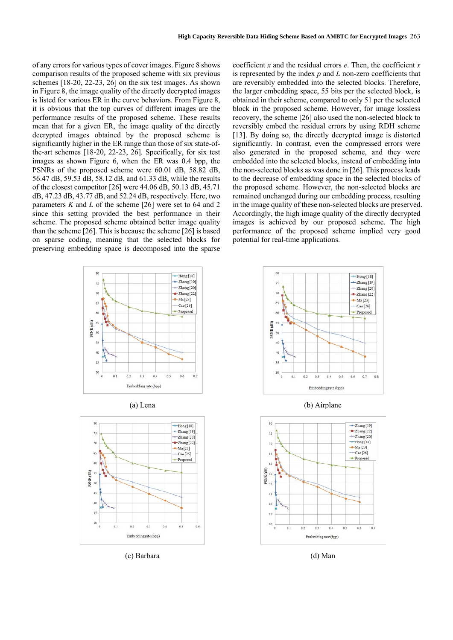of any errors for various types of cover images. Figure 8 shows comparison results of the proposed scheme with six previous schemes [18-20, 22-23, 26] on the six test images. As shown in Figure 8, the image quality of the directly decrypted images is listed for various ER in the curve behaviors. From Figure 8, it is obvious that the top curves of different images are the performance results of the proposed scheme. These results mean that for a given ER, the image quality of the directly decrypted images obtained by the proposed scheme is significantly higher in the ER range than those of six state-ofthe-art schemes [18-20, 22-23, 26]. Specifically, for six test images as shown Figure 6, when the ER was 0.4 bpp, the PSNRs of the proposed scheme were 60.01 dB, 58.82 dB, 56.47 dB, 59.53 dB, 58.12 dB, and 61.33 dB, while the results of the closest competitor [26] were 44.06 dB, 50.13 dB, 45.71 dB, 47.23 dB, 43.77 dB, and 52.24 dB, respectively. Here, two parameters *K* and *L* of the scheme [26] were set to 64 and 2 since this setting provided the best performance in their scheme. The proposed scheme obtained better image quality than the scheme [26]. This is because the scheme [26] is based on sparse coding, meaning that the selected blocks for preserving embedding space is decomposed into the sparse

coefficient *x* and the residual errors *e*. Then, the coefficient *x* is represented by the index *p* and *L* non-zero coefficients that are reversibly embedded into the selected blocks. Therefore, the larger embedding space, 55 bits per the selected block, is obtained in their scheme, compared to only 51 per the selected block in the proposed scheme. However, for image lossless recovery, the scheme [26] also used the non-selected block to reversibly embed the residual errors by using RDH scheme [13]. By doing so, the directly decrypted image is distorted significantly. In contrast, even the compressed errors were also generated in the proposed scheme, and they were embedded into the selected blocks, instead of embedding into the non-selected blocks as was done in [26]. This process leads to the decrease of embedding space in the selected blocks of the proposed scheme. However, the non-selected blocks are remained unchanged during our embedding process, resulting in the image quality of these non-selected blocks are preserved. Accordingly, the high image quality of the directly decrypted images is achieved by our proposed scheme. The high performance of the proposed scheme implied very good potential for real-time applications.





(c) Barbara (d) Man



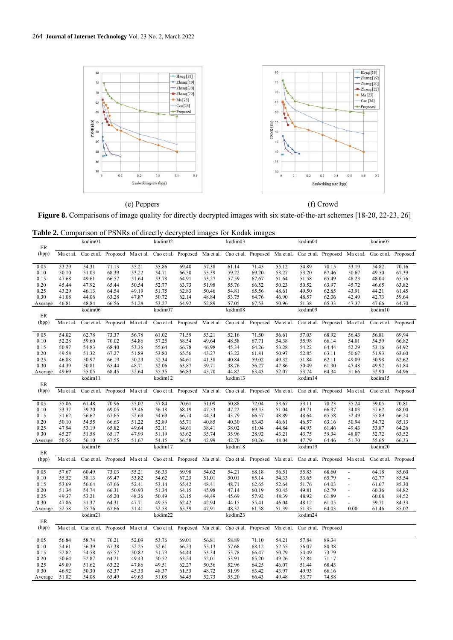

Figure 8. Comparisons of image quality for directly decrypted images with six state-of-the-art schemes [18-20, 22-23, 26]

| <b>Table 2.</b> Comparison of PSNRs of directly decrypted images for Kodak images |  |
|-----------------------------------------------------------------------------------|--|
|-----------------------------------------------------------------------------------|--|

|         |           | kodim01 |                               |       | kodim02 |                                                                                                                                             |       | kodim03 |                               |       | kodim04             |                               |                          | kodim05             |          |
|---------|-----------|---------|-------------------------------|-------|---------|---------------------------------------------------------------------------------------------------------------------------------------------|-------|---------|-------------------------------|-------|---------------------|-------------------------------|--------------------------|---------------------|----------|
| ER      |           |         |                               |       |         |                                                                                                                                             |       |         |                               |       |                     |                               |                          |                     |          |
| (bpp)   | Ma et al. |         |                               |       |         | Cao et al. Proposed Ma et al. Cao et al. Proposed Ma et al. Cao et al. Proposed Ma et al. Cao et al. Proposed Ma et al.                     |       |         |                               |       |                     |                               |                          | Cao et al. Proposed |          |
| 0.05    | 53.29     | 54.31   | 71.13                         | 55.21 | 55.86   | 69.40                                                                                                                                       | 57.38 | 61.14   | 71.45                         | 55.12 | 54.89               | 70.15                         | 53.19                    | 54.82               | 70.16    |
| 0.10    | 50.10     | 51.03   | 68.39                         | 53.22 | 54.71   | 66.50                                                                                                                                       | 55.39 | 59.22   | 69.20                         | 53.27 | 53.20               | 67.46                         | 50.67                    | 49.50               | 67.39    |
| 0.15    | 47.68     | 49.61   | 66.57                         | 51.64 | 53.78   | 64.91                                                                                                                                       | 53.27 | 57.59   | 67.67                         | 51.64 | 51.58               | 65.49                         | 48.23                    | 48.04               | 65.76    |
| 0.20    | 45.44     | 47.92   | 65.44                         | 50.54 | 52.77   | 63.73                                                                                                                                       | 51.98 | 55.76   | 66.52                         | 50.23 | 50.52               | 63.97                         | 45.72                    | 46.65               | 63.82    |
| 0.25    | 43.29     | 46.13   | 64.54                         | 49.19 | 51.75   | 62.83                                                                                                                                       | 50.46 | 54.81   | 65.56                         | 48.61 | 49.50               | 62.85                         | 43.91                    | 44.21               | 61.45    |
| 0.30    | 41.08     | 44.06   | 63.28                         | 47.87 | 50.72   | 62.14                                                                                                                                       | 48.84 | 53.75   | 64.76                         | 46.90 | 48.57               | 62.06                         | 42.49                    | 42.73               | 59.64    |
| Average | 46.81     | 48.84   | 66.56                         | 51.28 | 53.27   | 64.92                                                                                                                                       | 52.89 | 57.05   | 67.53                         | 50.96 | 51.38               | 65.33                         | 47.37                    | 47.66               | 64.70    |
| ER      |           | kodim06 |                               |       | kodim07 |                                                                                                                                             |       | kodim08 |                               |       | kodim09             |                               |                          | kodim10             |          |
| (bpp)   | Ma et al. |         | Cao et al. Proposed Ma et al. |       |         | Cao et al. Proposed Ma et al.                                                                                                               |       |         | Cao et al. Proposed Ma et al. |       |                     | Cao et al. Proposed Ma et al. |                          | Cao et al.          | Proposed |
|         |           |         |                               |       |         |                                                                                                                                             |       |         |                               |       |                     |                               |                          |                     |          |
| 0.05    | 54.02     | 62.78   | 73.37                         | 56.78 | 61.02   | 71.59                                                                                                                                       | 53.21 | 52.16   | 71.50                         | 56.61 | 57.03               | 68.92                         | 56.43                    | 56.81               | 69.94    |
| 0.10    | 52.28     | 59.60   | 70.02                         | 54.86 | 57.25   | 68.54                                                                                                                                       | 49.64 | 48.58   | 67.71                         | 54.38 | 55.98               | 66.14                         | 54.01                    | 54.59               | 66.82    |
| 0.15    | 50.97     | 54.83   | 68.40                         | 53.36 | 55.64   | 66.78                                                                                                                                       | 46.98 | 45.34   | 64.26                         | 53.28 | 54.22               | 64.44                         | 52.29                    | 53.16               | 64.92    |
| 0.20    | 49.58     | 51.32   | 67.27                         | 51.89 | 53.80   | 65.56                                                                                                                                       | 43.27 | 43.22   | 61.81                         | 50.97 | 52.85               | 63.11                         | 50.67                    | 51.93               | 63.60    |
| 0.25    | 46.88     | 50.97   | 66.19                         | 50.23 | 52.34   | 64.61                                                                                                                                       | 41.38 | 40.84   | 59.02                         | 49.32 | 51.84               | 62.11                         | 49.09                    | 50.98               | 62.62    |
| 0.30    | 44.39     | 50.81   | 65.44                         | 48.71 | 52.06   | 63.87                                                                                                                                       | 39.71 | 38.76   | 56.27                         | 47.86 | 50.49               | 61.30                         | 47.48                    | 49.92               | 61.84    |
| Average | 49.69     | 55.05   | 68.45                         | 52.64 | 55.35   | 66.83                                                                                                                                       | 45.70 | 44.82   | 63.43                         | 52.07 | 53.74               | 64.34                         | 51.66                    | 52.90               | 64.96    |
|         |           | kodim11 |                               |       | kodim12 |                                                                                                                                             |       | kodim13 |                               |       | kodim14             |                               |                          | kodim15             |          |
| ER      |           |         |                               |       |         |                                                                                                                                             |       |         |                               |       |                     |                               |                          |                     |          |
| (bpp)   | Ma et al. |         |                               |       |         | Cao et al. Proposed Ma et al. Cao et al. Proposed Ma et al.                                                                                 |       |         | Cao et al. Proposed Ma et al. |       |                     | Cao et al. Proposed Ma et al. |                          | Cao et al. Proposed |          |
| 0.05    | 55.06     | 61.48   | 70.96                         | 55.02 | 57.84   | 70.61                                                                                                                                       | 51.09 | 50.88   | 72.04                         | 53.67 | 53.11               | 70.23                         | 55.24                    | 59.05               | 70.81    |
| 0.10    | 53.37     | 59.20   | 69.05                         | 53.46 | 56.18   | 68.19                                                                                                                                       | 47.53 | 47.22   | 69.55                         | 51.04 | 49.71               | 66.97                         | 54.03                    | 57.62               | 68.00    |
| 0.15    | 51.62     | 56.62   | 67.65                         | 52.69 | 54.69   | 66.74                                                                                                                                       | 44.34 | 43.79   | 66.57                         | 48.89 | 48.64               | 65.58                         | 52.49                    | 55.89               | 66.24    |
| 0.20    | 50.10     | 54.55   | 66.63                         | 51.22 | 52.89   | 65.71                                                                                                                                       | 40.85 | 40.30   | 63.43                         | 46.61 | 46.57               | 63.16                         | 50.94                    | 54.72               | 65.13    |
| 0.25    | 47.94     | 53.19   | 65.82                         | 49.64 | 52.11   | 64.61                                                                                                                                       | 38.41 | 38.02   | 61.04                         | 44.84 | 44.93               | 61.46                         | 49.43                    | 53.87               | 64.26    |
| 0.30    | 45.27     | 51.58   | 65.17                         | 47.99 | 51.19   | 63.62                                                                                                                                       | 35.74 | 35.96   | 28.92                         | 43.21 | 43.75               | 59.34                         | 48.07                    | 52.72               | 63.52    |
| Average | 50.56     | 56.10   | 67.55                         | 51.67 | 54.15   | 66.58                                                                                                                                       | 42.99 | 42.70   | 60.26                         | 48.04 | 47.79               | 64.46                         | 51.70                    | 55.65               | 66.33    |
| ER      |           | kodim16 |                               |       | kodim17 |                                                                                                                                             |       | kodim18 |                               |       | kodim19             |                               |                          | kodim20             |          |
| (bpp)   | Ma et al. |         |                               |       |         | Cao et al. Proposed Ma et al. Cao et al. Proposed Ma et al. Cao et al. Proposed Ma et al. Cao et al. Proposed Ma et al. Cao et al. Proposed |       |         |                               |       |                     |                               |                          |                     |          |
|         |           |         |                               |       |         |                                                                                                                                             |       |         |                               |       |                     |                               |                          |                     |          |
| 0.05    | 57.67     | 60.49   | 73.03                         | 55.21 | 56.33   | 69.98                                                                                                                                       | 54.62 | 54.21   | 68.18                         | 56.51 | 55.83               | 68.60                         | $\overline{\phantom{a}}$ | 64.18               | 85.60    |
| 0.10    | 55.52     | 58.13   | 69.47                         | 53.82 | 54.62   | 67.23                                                                                                                                       | 51.01 | 50.01   | 65.14                         | 54.33 | 53.65               | 65.79                         | $\overline{\phantom{a}}$ | 62.77               | 85.54    |
| 0.15    | 53.69     | 56.64   | 67.66                         | 52.41 | 53.14   | 65.42                                                                                                                                       | 48.41 | 48.71   | 62.65                         | 52.64 | 51.76               | 64.03                         | $\overline{a}$           | 61.67               | 85.30    |
| 0.20    | 51.34     | 54.74   | 66.31                         | 50.93 | 51.34   | 64.15                                                                                                                                       | 45.98 | 47.14   | 60.19                         | 50.45 | 49.81               | 62.79                         | ٠                        | 60.36               | 84.82    |
| 0.25    | 49.37     | 53.21   | 65.20                         | 48.36 | 50.49   | 63.15                                                                                                                                       | 44.49 | 45.69   | 57.92                         | 48.39 | 48.92               | 61.89                         | $\frac{1}{2}$            | 60.08               | 84.52    |
| 0.30    | 47.86     | 51.37   | 64.31                         | 47.71 | 49.55   | 62.42                                                                                                                                       | 42.94 | 44.15   | 55.41                         | 46.04 | 48.12               | 61.05                         |                          | 59.71               | 84.33    |
| Average | 52.58     | 55.76   | 67.66                         | 51.41 | 52.58   | 65.39                                                                                                                                       | 47.91 | 48.32   | 61.58                         | 51.39 | 51.35               | 64.03                         | 0.00                     | 61.46               | 85.02    |
| ER      |           | kodim21 |                               |       | kodim22 |                                                                                                                                             |       | kodim23 |                               |       | kodim24             |                               |                          |                     |          |
| (bpp)   | Ma et al. |         | Cao et al. Proposed Ma et al. |       |         | Cao et al. Proposed Ma et al.                                                                                                               |       |         | Cao et al. Proposed Ma et al. |       | Cao et al. Proposed |                               |                          |                     |          |
|         |           |         |                               |       |         |                                                                                                                                             |       |         |                               |       |                     |                               |                          |                     |          |
| 0.05    | 56.84     | 58.74   | 70.21                         | 52.09 | 53.76   | 69.01                                                                                                                                       | 56.81 | 58.89   | 71.10                         | 54.21 | 57.84               | 89.34                         |                          |                     |          |
| 0.10    | 54.61     | 56.39   | 67.38                         | 52.25 | 52.61   | 66.23                                                                                                                                       | 55.13 | 57.68   | 68.12                         | 52.55 | 56.07               | 80.38                         |                          |                     |          |
| 0.15    | 52.82     | 54.58   | 65.57                         | 50.82 | 51.73   | 64.44                                                                                                                                       | 53.34 | 55.78   | 66.47                         | 50.79 | 54.49               | 73.79                         |                          |                     |          |
| 0.20    | 50.64     | 52.87   | 64.21                         | 49.43 | 50.52   | 63.24                                                                                                                                       | 52.01 | 53.91   | 65.20                         | 49.26 | 52.84               | 71.17                         |                          |                     |          |
| 0.25    | 49.09     | 51.62   | 63.22                         | 47.86 | 49.51   | 62.27                                                                                                                                       | 50.36 | 52.96   | 64.25                         | 46.07 | 51.44               | 68.43                         |                          |                     |          |
| 0.30    | 46.92     | 50.30   | 62.37                         | 45.33 | 48.37   | 61.53                                                                                                                                       | 48.72 | 51.99   | 63.42                         | 43.97 | 49.93               | 66.16                         |                          |                     |          |
| Average | 51.82     | 54.08   | 65.49                         | 49.63 | 51.08   | 64.45                                                                                                                                       | 52.73 | 55.20   | 66.43                         | 49.48 | 53.77               | 74.88                         |                          |                     |          |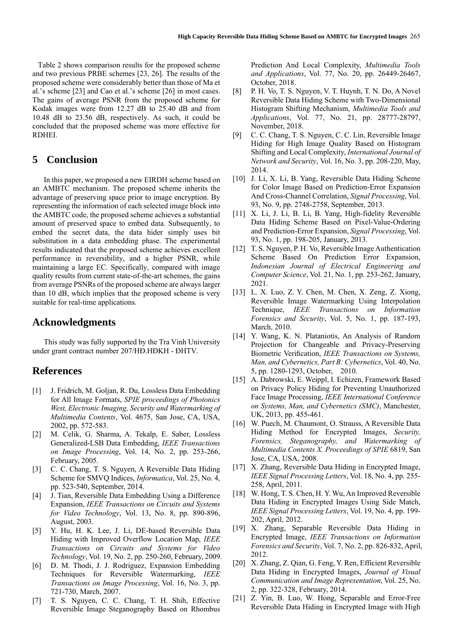Table 2 shows comparison results for the proposed scheme and two previous PRBE schemes [23, 26]. The results of the proposed scheme were considerably better than those of Ma et al.'s scheme [23] and Cao et al.'s scheme [26] in most cases. The gains of average PSNR from the proposed scheme for Kodak images were from 12.27 dB to 25.40 dB and from 10.48 dB to 23.56 dB, respectively. As such, it could be concluded that the proposed scheme was more effective for RDHEI.

### **5 Conclusion**

In this paper, we proposed a new EIRDH scheme based on an AMBTC mechanism. The proposed scheme inherits the advantage of preserving space prior to image encryption. By representing the information of each selected image block into the AMBTC code, the proposed scheme achieves a substantial amount of preserved space to embed data. Subsequently, to embed the secret data, the data hider simply uses bit substitution in a data embedding phase. The experimental results indicated that the proposed scheme achieves excellent performance in reversibility, and a higher PSNR, while maintaining a large EC. Specifically, compared with image quality results from current state-of-the-art schemes, the gains from average PSNRs of the proposed scheme are always larger than 10 dB, which implies that the proposed scheme is very suitable for real-time applications.

### **Acknowledgments**

This study was fully supported by the Tra Vinh University under grant contract number 207/HĐ.HĐKH - ĐHTV.

### **References**

- [1] J. Fridrich, M. Goljan, R. Du, Lossless Data Embedding for All Image Formats, *SPIE proceedings of Photonics West, Electronic Imaging, Security and Watermarking of Multimedia Contents*, Vol. 4675, San Jose, CA, USA, 2002, pp. 572-583.
- [2] M. Celik, G. Sharma, A. Tekalp, E. Saber, Lossless Generalized-LSB Data Embedding, *IEEE Transactions on Image Processing*, Vol. 14, No. 2, pp. 253-266, February, 2005.
- [3] C. C. Chang, T. S. Nguyen, A Reversible Data Hiding Scheme for SMVQ Indices, *Informatica*, Vol. 25, No. 4, pp. 523-540, September, 2014.
- [4] J. Tian, Reversible Data Embedding Using a Difference Expansion, *IEEE Transactions on Circuits and Systems for Video Technology*, Vol. 13, No. 8, pp. 890-896, August, 2003.
- [5] Y. Hu, H. K. Lee, J. Li, DE-based Reversible Data Hiding with Improved Overflow Location Map, *IEEE Transactions on Circuits and Systems for Video Technology*, Vol. 19, No. 2, pp. 250-260, February, 2009.
- [6] D. M. Thodi, J. J. Rodriguez, Expansion Embedding Techniques for Reversible Watermarking, *IEEE Transactions on Image Processing*, Vol. 16, No. 3, pp. 721-730, March, 2007.
- [7] T. S. Nguyen, C. C. Chang, T. H. Shih, Effective Reversible Image Steganography Based on Rhombus

Prediction And Local Complexity, *Multimedia Tools and Applications*, Vol. 77, No. 20, pp. 26449-26467, October, 2018.

- [8] P. H. Vo, T. S. Nguyen, V. T. Huynh, T. N. Do, A Novel Reversible Data Hiding Scheme with Two-Dimensional Histogram Shifting Mechanism, *Multimedia Tools and Applications*, Vol. 77, No. 21, pp. 28777-28797, November, 2018.
- [9] C. C. Chang, T. S. Nguyen, C. C. Lin, Reversible Image Hiding for High Image Quality Based on Histogram Shifting and Local Complexity, *International Journal of Network and Security*, Vol. 16, No. 3, pp. 208-220, May, 2014.
- [10] J. Li, X. Li, B. Yang, Reversible Data Hiding Scheme for Color Image Based on Prediction-Error Expansion And Cross-Channel Correlation, *Signal Processing*, Vol. 93, No. 9, pp. 2748-2758, September, 2013.
- [11] X. Li, J. Li, B. Li, B. Yang, High-fidelity Reversible Data Hiding Scheme Based on Pixel-Value-Ordering and Prediction-Error Expansion, *Signal Processing*, Vol. 93, No. 1, pp. 198-205, January, 2013.
- [12] T. S. Nguyen, P. H. Vo, Reversible Image Authentication Scheme Based On Prediction Error Expansion, *Indonesian Journal of Electrical Engineering and Computer Science*, Vol. 21, No. 1, pp. 253-262, January, 2021.
- [13] L. X. Luo, Z. Y. Chen, M. Chen, X. Zeng, Z. Xiong, Reversible Image Watermarking Using Interpolation Technique, *IEEE Transactions on Information Forensics and Security*, Vol. 5, No. 1, pp. 187-193, March, 2010.
- [14] Y. Wang, K. N. Plataniotis, An Analysis of Random Projection for Changeable and Privacy-Preserving Biometric Verification, *IEEE Transactions on Systems, Man, and Cybernetics, Part B: Cybernetics*, Vol. 40, No. 5, pp. 1280-1293, October, 2010.
- [15] A. Dabrowski, E. Weippl, I. Echizen, Framework Based on Privacy Policy Hiding for Preventing Unauthorized Face Image Processing, *IEEE International Conference on Systems, Man, and Cybernetics (SMC)*, Manchester, UK, 2013, pp. 455-461.
- [16] W. Puech, M. Chaumont, O. Strauss, A Reversible Data Hiding Method for Encrypted Images, *Security, Forensics, Steganography, and Watermarking of Multimedia Contents X. Proceedings of SPIE* 6819, San Jose, CA, USA, 2008.
- [17] X. Zhang, Reversible Data Hiding in Encrypted Image, *IEEE Signal Processing Letters*, Vol. 18, No. 4, pp. 255- 258, April, 2011.
- [18] W. Hong, T. S. Chen, H. Y. Wu, An Improved Reversible Data Hiding in Encrypted Images Using Side Match, *IEEE Signal Processing Letters*, Vol. 19, No. 4, pp. 199- 202, April, 2012.
- [19] X. Zhang, Separable Reversible Data Hiding in Encrypted Image, *IEEE Transactions on Information Forensics and Security*, Vol. 7, No. 2, pp. 826-832, April, 2012.
- [20] X. Zhang, Z. Qian, G. Feng, Y. Ren, Efficient Reversible Data Hiding in Encrypted Images, *Journal of Visual Communication and Image Representation*, Vol. 25, No. 2, pp. 322-328, February, 2014.
- [21] Z. Yin, B. Luo, W. Hong, Separable and Error-Free Reversible Data Hiding in Encrypted Image with High